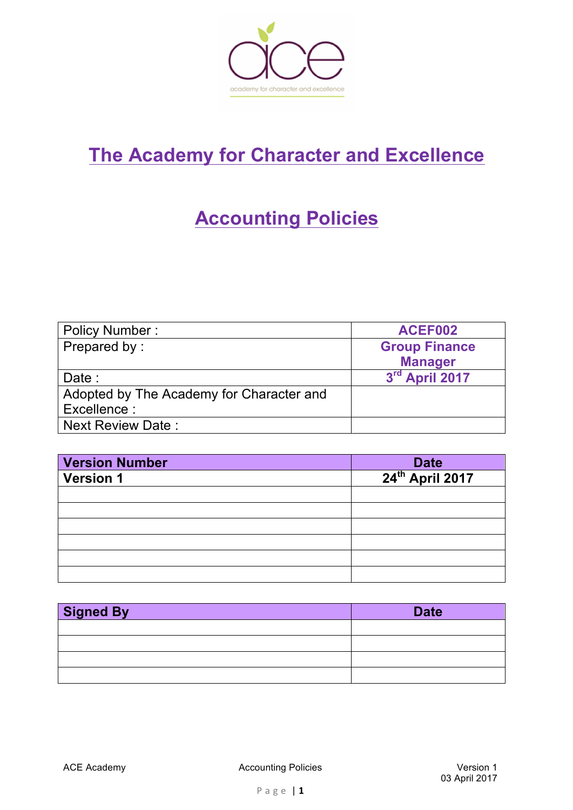

# **The Academy for Character and Excellence**

## **Accounting Policies**

| <b>Policy Number:</b>                    | ACEF002              |
|------------------------------------------|----------------------|
| Prepared by:                             | <b>Group Finance</b> |
|                                          | <b>Manager</b>       |
| Date :                                   | 3rd April 2017       |
| Adopted by The Academy for Character and |                      |
| Excellence:                              |                      |
| <b>Next Review Date:</b>                 |                      |

| <b>Version Number</b> |                                     |
|-----------------------|-------------------------------------|
| <b>Version 1</b>      | Date<br>24 <sup>th</sup> April 2017 |
|                       |                                     |
|                       |                                     |
|                       |                                     |
|                       |                                     |
|                       |                                     |
|                       |                                     |

| <b>Signed By</b> | <b>Date</b> |
|------------------|-------------|
|                  |             |
|                  |             |
|                  |             |
|                  |             |

ACE Academy **Accounting Policies** Accounting Policies **Version 1**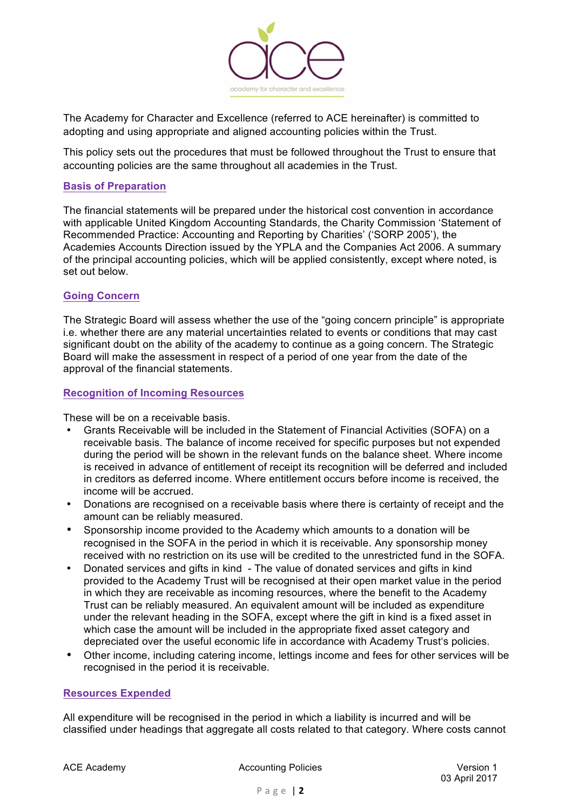

The Academy for Character and Excellence (referred to ACE hereinafter) is committed to adopting and using appropriate and aligned accounting policies within the Trust.

This policy sets out the procedures that must be followed throughout the Trust to ensure that accounting policies are the same throughout all academies in the Trust.

## **Basis of Preparation**

The financial statements will be prepared under the historical cost convention in accordance with applicable United Kingdom Accounting Standards, the Charity Commission 'Statement of Recommended Practice: Accounting and Reporting by Charities' ('SORP 2005'), the Academies Accounts Direction issued by the YPLA and the Companies Act 2006. A summary of the principal accounting policies, which will be applied consistently, except where noted, is set out below.

## **Going Concern**

The Strategic Board will assess whether the use of the "going concern principle" is appropriate i.e. whether there are any material uncertainties related to events or conditions that may cast significant doubt on the ability of the academy to continue as a going concern. The Strategic Board will make the assessment in respect of a period of one year from the date of the approval of the financial statements.

## **Recognition of Incoming Resources**

These will be on a receivable basis.

- Grants Receivable will be included in the Statement of Financial Activities (SOFA) on a receivable basis. The balance of income received for specific purposes but not expended during the period will be shown in the relevant funds on the balance sheet. Where income is received in advance of entitlement of receipt its recognition will be deferred and included in creditors as deferred income. Where entitlement occurs before income is received, the income will be accrued.
- Donations are recognised on a receivable basis where there is certainty of receipt and the amount can be reliably measured.
- Sponsorship income provided to the Academy which amounts to a donation will be recognised in the SOFA in the period in which it is receivable. Any sponsorship money received with no restriction on its use will be credited to the unrestricted fund in the SOFA.
- Donated services and gifts in kind The value of donated services and gifts in kind provided to the Academy Trust will be recognised at their open market value in the period in which they are receivable as incoming resources, where the benefit to the Academy Trust can be reliably measured. An equivalent amount will be included as expenditure under the relevant heading in the SOFA, except where the gift in kind is a fixed asset in which case the amount will be included in the appropriate fixed asset category and depreciated over the useful economic life in accordance with Academy Trust's policies.
- Other income, including catering income, lettings income and fees for other services will be recognised in the period it is receivable.

#### **Resources Expended**

All expenditure will be recognised in the period in which a liability is incurred and will be classified under headings that aggregate all costs related to that category. Where costs cannot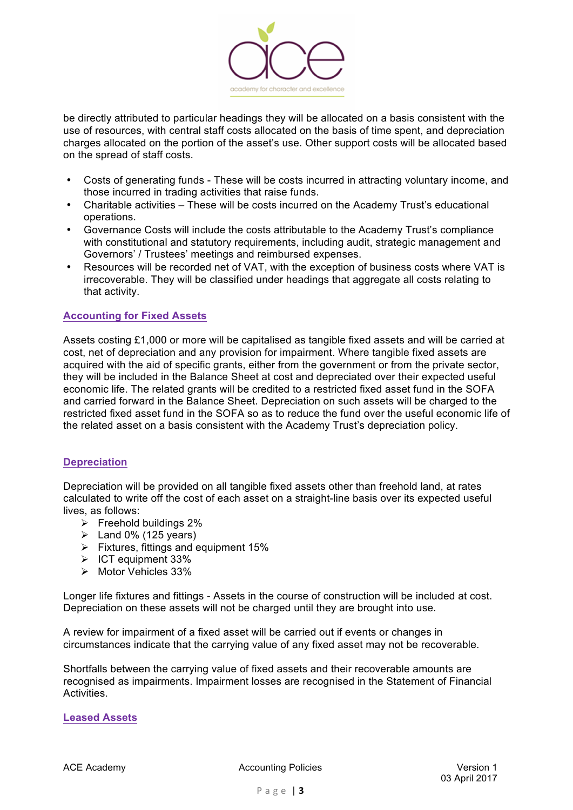

be directly attributed to particular headings they will be allocated on a basis consistent with the use of resources, with central staff costs allocated on the basis of time spent, and depreciation charges allocated on the portion of the asset's use. Other support costs will be allocated based on the spread of staff costs.

- Costs of generating funds These will be costs incurred in attracting voluntary income, and those incurred in trading activities that raise funds.
- Charitable activities These will be costs incurred on the Academy Trust's educational operations.
- Governance Costs will include the costs attributable to the Academy Trust's compliance with constitutional and statutory requirements, including audit, strategic management and Governors' / Trustees' meetings and reimbursed expenses.
- Resources will be recorded net of VAT, with the exception of business costs where VAT is irrecoverable. They will be classified under headings that aggregate all costs relating to that activity.

## **Accounting for Fixed Assets**

Assets costing £1,000 or more will be capitalised as tangible fixed assets and will be carried at cost, net of depreciation and any provision for impairment. Where tangible fixed assets are acquired with the aid of specific grants, either from the government or from the private sector, they will be included in the Balance Sheet at cost and depreciated over their expected useful economic life. The related grants will be credited to a restricted fixed asset fund in the SOFA and carried forward in the Balance Sheet. Depreciation on such assets will be charged to the restricted fixed asset fund in the SOFA so as to reduce the fund over the useful economic life of the related asset on a basis consistent with the Academy Trust's depreciation policy.

#### **Depreciation**

Depreciation will be provided on all tangible fixed assets other than freehold land, at rates calculated to write off the cost of each asset on a straight-line basis over its expected useful lives, as follows:

- $\triangleright$  Freehold buildings 2%
- $\blacktriangleright$  Land 0% (125 years)
- $\triangleright$  Fixtures, fittings and equipment 15%
- $\triangleright$  ICT equipment 33%
- $\triangleright$  Motor Vehicles 33%

Longer life fixtures and fittings - Assets in the course of construction will be included at cost. Depreciation on these assets will not be charged until they are brought into use.

A review for impairment of a fixed asset will be carried out if events or changes in circumstances indicate that the carrying value of any fixed asset may not be recoverable.

Shortfalls between the carrying value of fixed assets and their recoverable amounts are recognised as impairments. Impairment losses are recognised in the Statement of Financial Activities.

#### **Leased Assets**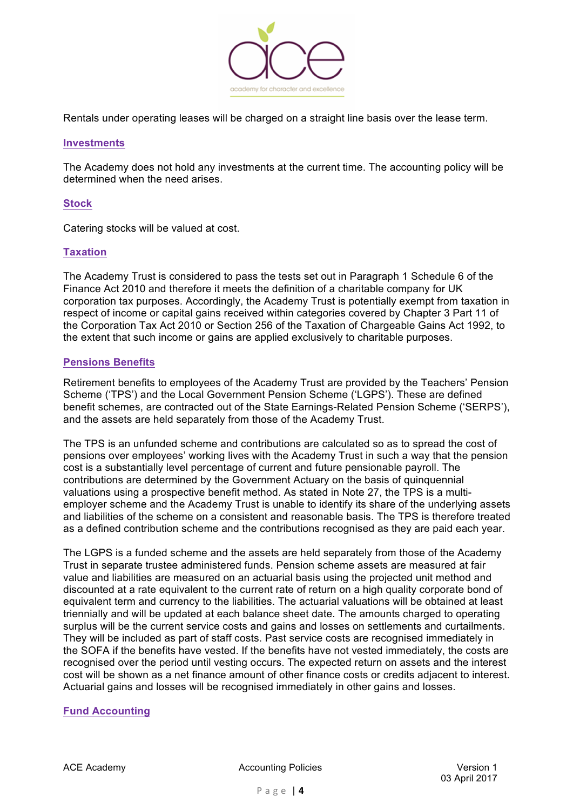

Rentals under operating leases will be charged on a straight line basis over the lease term.

#### **Investments**

The Academy does not hold any investments at the current time. The accounting policy will be determined when the need arises.

#### **Stock**

Catering stocks will be valued at cost.

## **Taxation**

The Academy Trust is considered to pass the tests set out in Paragraph 1 Schedule 6 of the Finance Act 2010 and therefore it meets the definition of a charitable company for UK corporation tax purposes. Accordingly, the Academy Trust is potentially exempt from taxation in respect of income or capital gains received within categories covered by Chapter 3 Part 11 of the Corporation Tax Act 2010 or Section 256 of the Taxation of Chargeable Gains Act 1992, to the extent that such income or gains are applied exclusively to charitable purposes.

#### **Pensions Benefits**

Retirement benefits to employees of the Academy Trust are provided by the Teachers' Pension Scheme ('TPS') and the Local Government Pension Scheme ('LGPS'). These are defined benefit schemes, are contracted out of the State Earnings-Related Pension Scheme ('SERPS'), and the assets are held separately from those of the Academy Trust.

The TPS is an unfunded scheme and contributions are calculated so as to spread the cost of pensions over employees' working lives with the Academy Trust in such a way that the pension cost is a substantially level percentage of current and future pensionable payroll. The contributions are determined by the Government Actuary on the basis of quinquennial valuations using a prospective benefit method. As stated in Note 27, the TPS is a multiemployer scheme and the Academy Trust is unable to identify its share of the underlying assets and liabilities of the scheme on a consistent and reasonable basis. The TPS is therefore treated as a defined contribution scheme and the contributions recognised as they are paid each year.

The LGPS is a funded scheme and the assets are held separately from those of the Academy Trust in separate trustee administered funds. Pension scheme assets are measured at fair value and liabilities are measured on an actuarial basis using the projected unit method and discounted at a rate equivalent to the current rate of return on a high quality corporate bond of equivalent term and currency to the liabilities. The actuarial valuations will be obtained at least triennially and will be updated at each balance sheet date. The amounts charged to operating surplus will be the current service costs and gains and losses on settlements and curtailments. They will be included as part of staff costs. Past service costs are recognised immediately in the SOFA if the benefits have vested. If the benefits have not vested immediately, the costs are recognised over the period until vesting occurs. The expected return on assets and the interest cost will be shown as a net finance amount of other finance costs or credits adjacent to interest. Actuarial gains and losses will be recognised immediately in other gains and losses.

## **Fund Accounting**